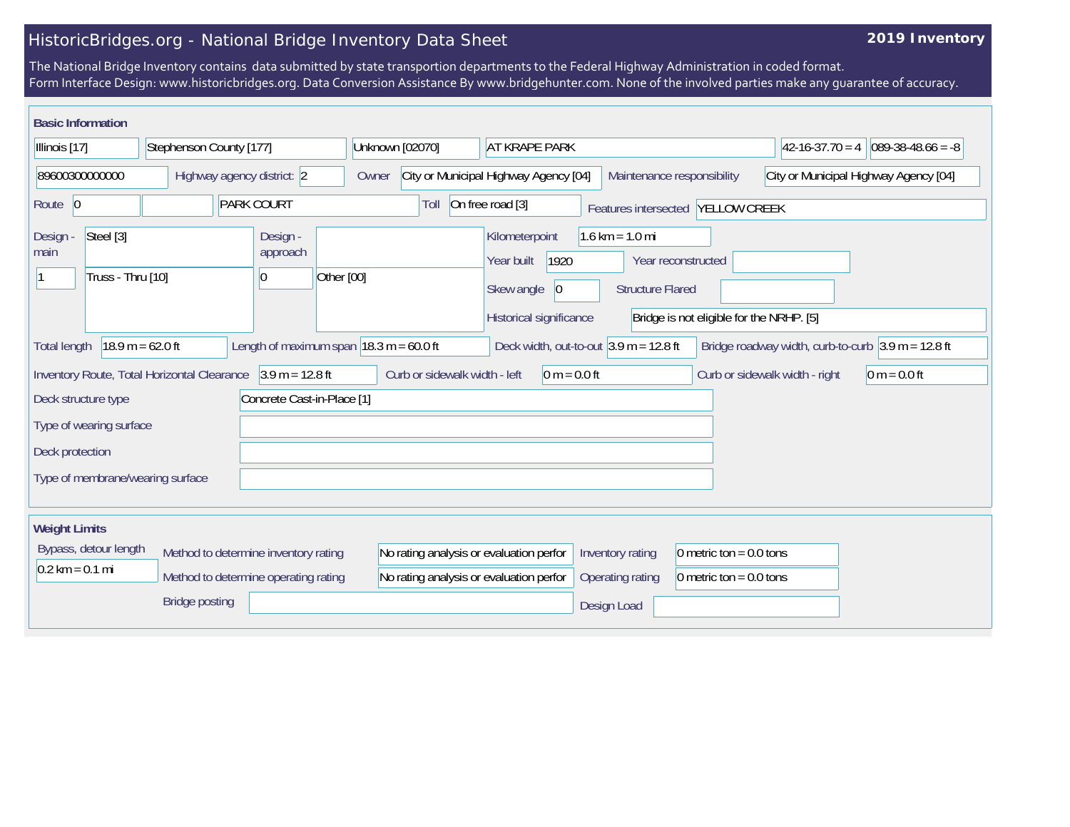## HistoricBridges.org - National Bridge Inventory Data Sheet

## **2019 Inventory**

The National Bridge Inventory contains data submitted by state transportion departments to the Federal Highway Administration in coded format. Form Interface Design: www.historicbridges.org. Data Conversion Assistance By www.bridgehunter.com. None of the involved parties make any guarantee of accuracy.

| <b>Basic Information</b>                           |                                                                     |                                                      |                                                             |                                                           |                                                                                    |                                          |                                                                      |                     |
|----------------------------------------------------|---------------------------------------------------------------------|------------------------------------------------------|-------------------------------------------------------------|-----------------------------------------------------------|------------------------------------------------------------------------------------|------------------------------------------|----------------------------------------------------------------------|---------------------|
| Illinois [17]                                      | Stephenson County [177]                                             |                                                      | Unknown [02070]                                             | <b>AT KRAPE PARK</b>                                      |                                                                                    |                                          | $42 - 16 - 37.70 = 4$                                                | $089-38-48.66 = -8$ |
| 89600300000000                                     | Highway agency district: 2                                          |                                                      | Owner                                                       | City or Municipal Highway Agency [04]                     | Maintenance responsibility                                                         |                                          | City or Municipal Highway Agency [04]                                |                     |
| Route 0                                            | <b>PARK COURT</b>                                                   |                                                      | Toll                                                        | On free road [3]                                          | Features intersected YELLOW CREEK                                                  |                                          |                                                                      |                     |
| Steel [3]<br>Design -<br>main<br>Truss - Thru [10] |                                                                     | Design -<br>approach<br>Other [00]<br>$\overline{0}$ |                                                             | Kilometerpoint<br>1920<br>Year built<br> 0 <br>Skew angle | $1.6 \text{ km} = 1.0 \text{ mi}$<br>Year reconstructed<br><b>Structure Flared</b> |                                          |                                                                      |                     |
|                                                    |                                                                     |                                                      |                                                             | Historical significance                                   |                                                                                    | Bridge is not eligible for the NRHP. [5] |                                                                      |                     |
| <b>Total length</b>                                | $18.9 m = 62.0 ft$                                                  |                                                      | Length of maximum span $ 18.3 \text{ m} = 60.0 \text{ ft} $ | Deck width, out-to-out $3.9$ m = 12.8 ft                  |                                                                                    |                                          | Bridge roadway width, curb-to-curb $3.9 \text{ m} = 12.8 \text{ ft}$ |                     |
|                                                    | Inventory Route, Total Horizontal Clearance $\vert$ 3.9 m = 12.8 ft |                                                      | Curb or sidewalk width - left                               | $0 m = 0.0 ft$                                            |                                                                                    |                                          | Curb or sidewalk width - right                                       | $0 m = 0.0 ft$      |
| Deck structure type                                |                                                                     | Concrete Cast-in-Place [1]                           |                                                             |                                                           |                                                                                    |                                          |                                                                      |                     |
| Type of wearing surface                            |                                                                     |                                                      |                                                             |                                                           |                                                                                    |                                          |                                                                      |                     |
| Deck protection                                    |                                                                     |                                                      |                                                             |                                                           |                                                                                    |                                          |                                                                      |                     |
| Type of membrane/wearing surface                   |                                                                     |                                                      |                                                             |                                                           |                                                                                    |                                          |                                                                      |                     |
| <b>Weight Limits</b>                               |                                                                     |                                                      |                                                             |                                                           |                                                                                    |                                          |                                                                      |                     |
| Bypass, detour length                              | Method to determine inventory rating                                |                                                      | No rating analysis or evaluation perfor                     |                                                           | Inventory rating                                                                   | 0 metric ton = $0.0$ tons                |                                                                      |                     |
| $0.2 \text{ km} = 0.1 \text{ mi}$                  | Method to determine operating rating                                |                                                      | No rating analysis or evaluation perfor                     |                                                           | Operating rating                                                                   | 0 metric ton = $0.0$ tons                |                                                                      |                     |
|                                                    | <b>Bridge posting</b>                                               |                                                      |                                                             |                                                           | Design Load                                                                        |                                          |                                                                      |                     |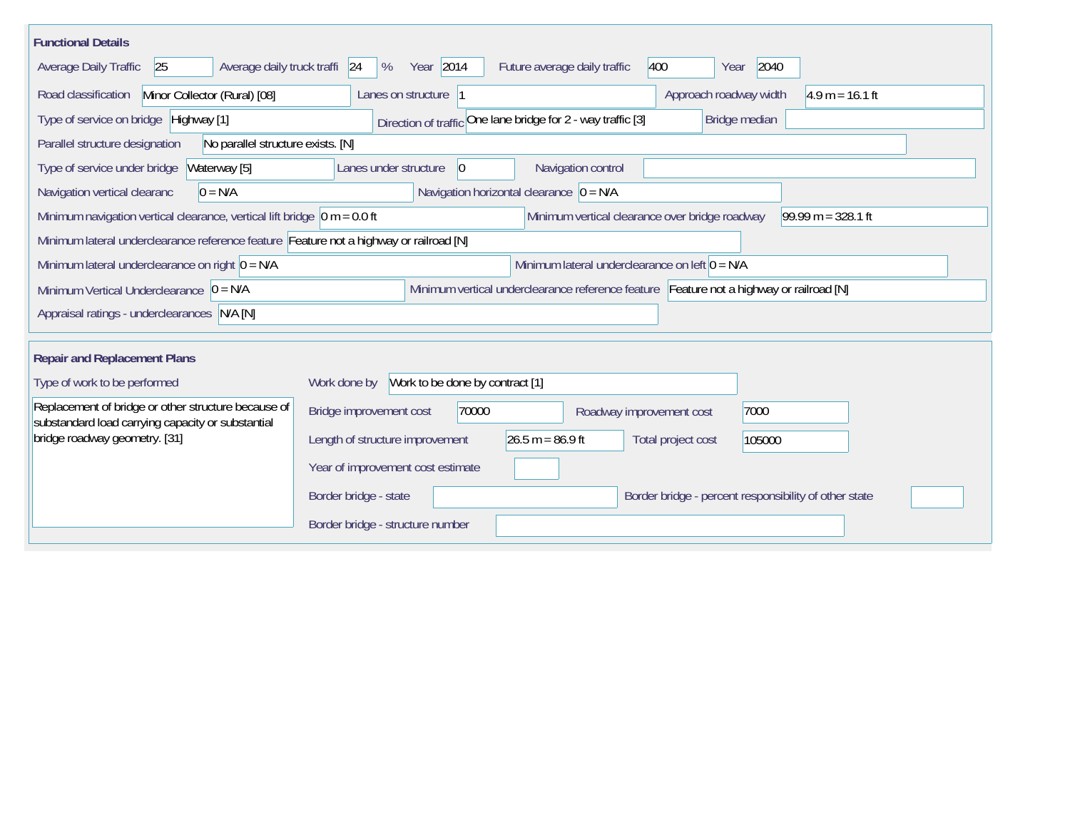| <b>Functional Details</b>                                                                                                                                  |                                                                                       |  |  |  |  |  |  |  |  |
|------------------------------------------------------------------------------------------------------------------------------------------------------------|---------------------------------------------------------------------------------------|--|--|--|--|--|--|--|--|
| Average daily truck traffi 24<br>Average Daily Traffic<br>25                                                                                               | Year 2014<br>400<br>2040<br>%<br>Future average daily traffic<br>Year                 |  |  |  |  |  |  |  |  |
| Road classification<br>Minor Collector (Rural) [08]                                                                                                        | $4.9 m = 16.1 ft$<br>Lanes on structure  1<br>Approach roadway width                  |  |  |  |  |  |  |  |  |
| Type of service on bridge Highway [1]                                                                                                                      | Direction of traffic One lane bridge for 2 - way traffic [3]<br>Bridge median         |  |  |  |  |  |  |  |  |
| Parallel structure designation<br>No parallel structure exists. [N]                                                                                        |                                                                                       |  |  |  |  |  |  |  |  |
| Type of service under bridge<br>Waterway [5]                                                                                                               | Navigation control<br>Lanes under structure<br>$ 0\rangle$                            |  |  |  |  |  |  |  |  |
| $0 = N/A$<br>Navigation vertical clearanc                                                                                                                  | Navigation horizontal clearance $\overline{0} = N/A$                                  |  |  |  |  |  |  |  |  |
| $99.99 m = 328.1 ft$<br>Minimum navigation vertical clearance, vertical lift bridge $\vert$ 0 m = 0.0 ft<br>Minimum vertical clearance over bridge roadway |                                                                                       |  |  |  |  |  |  |  |  |
| Minimum lateral underclearance reference feature Feature not a highway or railroad [N]                                                                     |                                                                                       |  |  |  |  |  |  |  |  |
| Minimum lateral underclearance on right $0 = N/A$                                                                                                          | Minimum lateral underclearance on left $0 = N/A$                                      |  |  |  |  |  |  |  |  |
| Minimum vertical underclearance reference feature Feature not a highway or railroad [N]<br>Minimum Vertical Underclearance $ 0 = N/A$                      |                                                                                       |  |  |  |  |  |  |  |  |
| Appraisal ratings - underclearances N/A [N]                                                                                                                |                                                                                       |  |  |  |  |  |  |  |  |
|                                                                                                                                                            |                                                                                       |  |  |  |  |  |  |  |  |
| <b>Repair and Replacement Plans</b>                                                                                                                        |                                                                                       |  |  |  |  |  |  |  |  |
| Type of work to be performed                                                                                                                               | Work done by Work to be done by contract [1]                                          |  |  |  |  |  |  |  |  |
| Replacement of bridge or other structure because of<br>substandard load carrying capacity or substantial                                                   | Bridge improvement cost<br>70000<br>7000<br>Roadway improvement cost                  |  |  |  |  |  |  |  |  |
| bridge roadway geometry. [31]                                                                                                                              | $26.5 m = 86.9 ft$<br>Length of structure improvement<br>Total project cost<br>105000 |  |  |  |  |  |  |  |  |
|                                                                                                                                                            | Year of improvement cost estimate                                                     |  |  |  |  |  |  |  |  |
|                                                                                                                                                            | Border bridge - state<br>Border bridge - percent responsibility of other state        |  |  |  |  |  |  |  |  |
|                                                                                                                                                            | Border bridge - structure number                                                      |  |  |  |  |  |  |  |  |